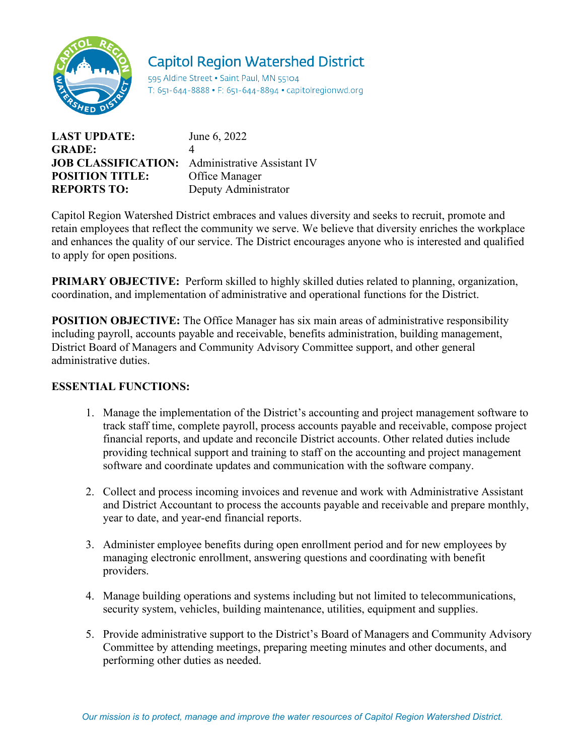

# **Capitol Region Watershed District**

595 Aldine Street . Saint Paul, MN 55104 T: 651-644-8888 • F: 651-644-8894 • capitolregionwd.org

| <b>LAST UPDATE:</b>                                    | June 6, 2022         |
|--------------------------------------------------------|----------------------|
| <b>GRADE:</b>                                          |                      |
| <b>JOB CLASSIFICATION:</b> Administrative Assistant IV |                      |
| <b>POSITION TITLE:</b>                                 | Office Manager       |
| <b>REPORTS TO:</b>                                     | Deputy Administrator |

Capitol Region Watershed District embraces and values diversity and seeks to recruit, promote and retain employees that reflect the community we serve. We believe that diversity enriches the workplace and enhances the quality of our service. The District encourages anyone who is interested and qualified to apply for open positions.

**PRIMARY OBJECTIVE:** Perform skilled to highly skilled duties related to planning, organization, coordination, and implementation of administrative and operational functions for the District.

**POSITION OBJECTIVE:** The Office Manager has six main areas of administrative responsibility including payroll, accounts payable and receivable, benefits administration, building management, District Board of Managers and Community Advisory Committee support, and other general administrative duties.

## **ESSENTIAL FUNCTIONS:**

- 1. Manage the implementation of the District's accounting and project management software to track staff time, complete payroll, process accounts payable and receivable, compose project financial reports, and update and reconcile District accounts. Other related duties include providing technical support and training to staff on the accounting and project management software and coordinate updates and communication with the software company.
- 2. Collect and process incoming invoices and revenue and work with Administrative Assistant and District Accountant to process the accounts payable and receivable and prepare monthly, year to date, and year-end financial reports.
- 3. Administer employee benefits during open enrollment period and for new employees by managing electronic enrollment, answering questions and coordinating with benefit providers.
- 4. Manage building operations and systems including but not limited to telecommunications, security system, vehicles, building maintenance, utilities, equipment and supplies.
- 5. Provide administrative support to the District's Board of Managers and Community Advisory Committee by attending meetings, preparing meeting minutes and other documents, and performing other duties as needed.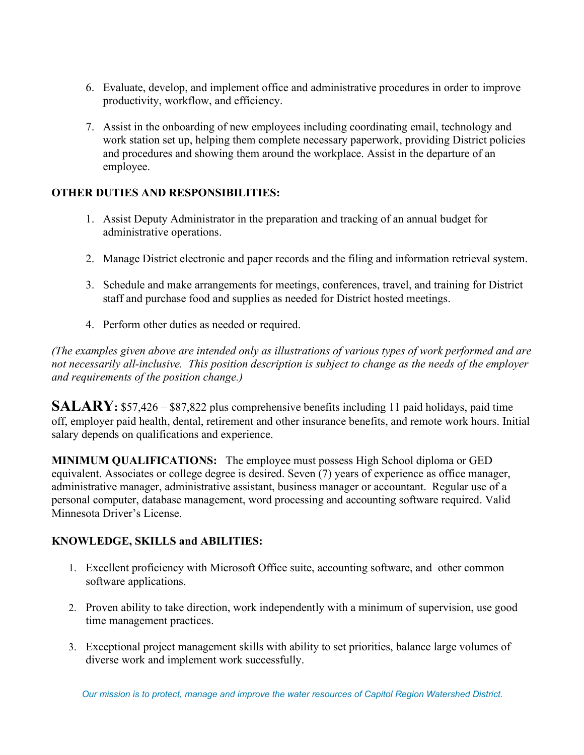- 6. Evaluate, develop, and implement office and administrative procedures in order to improve productivity, workflow, and efficiency.
- 7. Assist in the onboarding of new employees including coordinating email, technology and work station set up, helping them complete necessary paperwork, providing District policies and procedures and showing them around the workplace. Assist in the departure of an employee.

## **OTHER DUTIES AND RESPONSIBILITIES:**

- 1. Assist Deputy Administrator in the preparation and tracking of an annual budget for administrative operations.
- 2. Manage District electronic and paper records and the filing and information retrieval system.
- 3. Schedule and make arrangements for meetings, conferences, travel, and training for District staff and purchase food and supplies as needed for District hosted meetings.
- 4. Perform other duties as needed or required.

*(The examples given above are intended only as illustrations of various types of work performed and are not necessarily all-inclusive. This position description is subject to change as the needs of the employer and requirements of the position change.)*

**SALARY:** \$57,426 – \$87,822 plus comprehensive benefits including 11 paid holidays, paid time off, employer paid health, dental, retirement and other insurance benefits, and remote work hours. Initial salary depends on qualifications and experience.

**MINIMUM QUALIFICATIONS:** The employee must possess High School diploma or GED equivalent. Associates or college degree is desired. Seven (7) years of experience as office manager, administrative manager, administrative assistant, business manager or accountant. Regular use of a personal computer, database management, word processing and accounting software required. Valid Minnesota Driver's License.

## **KNOWLEDGE, SKILLS and ABILITIES:**

- 1. Excellent proficiency with Microsoft Office suite, accounting software, and other common software applications.
- 2. Proven ability to take direction, work independently with a minimum of supervision, use good time management practices.
- 3. Exceptional project management skills with ability to set priorities, balance large volumes of diverse work and implement work successfully.

*Our mission is to protect, manage and improve the water resources of Capitol Region Watershed District.*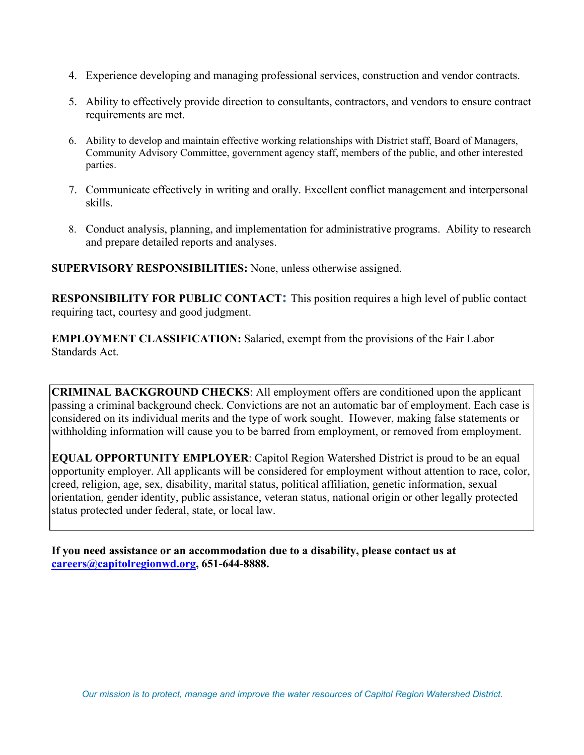- 4. Experience developing and managing professional services, construction and vendor contracts.
- 5. Ability to effectively provide direction to consultants, contractors, and vendors to ensure contract requirements are met.
- 6. Ability to develop and maintain effective working relationships with District staff, Board of Managers, Community Advisory Committee, government agency staff, members of the public, and other interested parties.
- 7. Communicate effectively in writing and orally. Excellent conflict management and interpersonal skills.
- 8. Conduct analysis, planning, and implementation for administrative programs. Ability to research and prepare detailed reports and analyses.

**SUPERVISORY RESPONSIBILITIES:** None, unless otherwise assigned.

**RESPONSIBILITY FOR PUBLIC CONTACT:** This position requires a high level of public contact requiring tact, courtesy and good judgment.

**EMPLOYMENT CLASSIFICATION:** Salaried, exempt from the provisions of the Fair Labor Standards Act.

**CRIMINAL BACKGROUND CHECKS**: All employment offers are conditioned upon the applicant passing a criminal background check. Convictions are not an automatic bar of employment. Each case is considered on its individual merits and the type of work sought. However, making false statements or withholding information will cause you to be barred from employment, or removed from employment.

**EQUAL OPPORTUNITY EMPLOYER**: Capitol Region Watershed District is proud to be an equal opportunity employer. All applicants will be considered for employment without attention to race, color, creed, religion, age, sex, disability, marital status, political affiliation, genetic information, sexual orientation, gender identity, public assistance, veteran status, national origin or other legally protected status protected under federal, state, or local law.

**If you need assistance or an accommodation due to a disability, please contact us at [careers@capitolregionwd.org,](mailto:careers@capitolregionwd.org) 651-644-8888.**